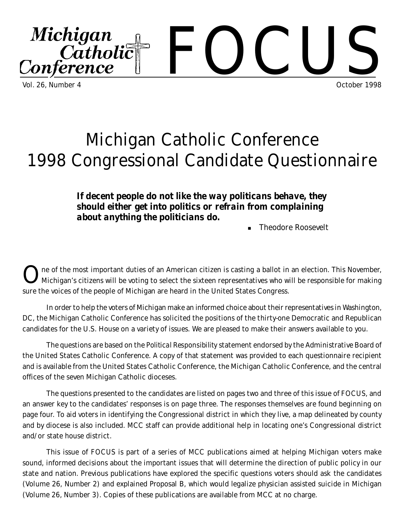

# Michigan Catholic Conference 1998 Congressional Candidate Questionnaire

*If decent people do not like the way politicans behave, they should either get into politics or refrain from complaining about anything the politicians do.*

Theodore Roosevelt

O ne of the most important duties of an American citizen is casting a ballot in an election. This November, Michigan's citizens will be voting to select the sixteen representatives who will be responsible for making sure the voices of the people of Michigan are heard in the United States Congress.

In order to help the voters of Michigan make an informed choice about their representatives in Washington, DC, the Michigan Catholic Conference has solicited the positions of the thirty-one Democratic and Republican candidates for the U.S. House on a variety of issues. We are pleased to make their answers available to you.

The questions are based on the *Political Responsibility* statement endorsed by the Administrative Board of the United States Catholic Conference. A copy of that statement was provided to each questionnaire recipient and is available from the United States Catholic Conference, the Michigan Catholic Conference, and the central offices of the seven Michigan Catholic dioceses.

The questions presented to the candidates are listed on pages two and three of this issue of *FOCUS*, and an answer key to the candidates' responses is on page three. The responses themselves are found beginning on page four. To aid voters in identifying the Congressional district in which they live, a map delineated by county and by diocese is also included. MCC staff can provide additional help in locating one's Congressional district and/or state house district.

This issue of *FOCUS* is part of a series of MCC publications aimed at helping Michigan voters make sound, informed decisions about the important issues that will determine the direction of public policy in our state and nation. Previous publications have explored the specific questions voters should ask the candidates (Volume 26, Number 2) and explained Proposal B, which would legalize physician assisted suicide in Michigan (Volume 26, Number 3). Copies of these publications are available from MCC at no charge.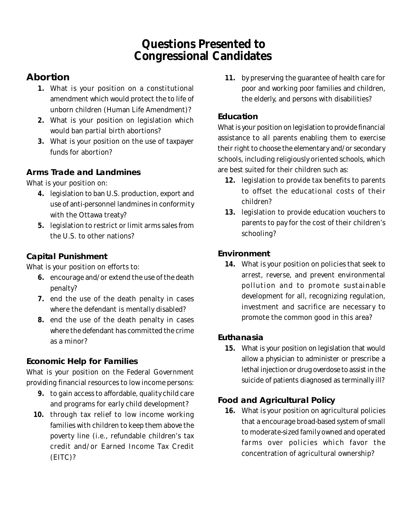## **Questions Presented to Congressional Candidates**

### *Abortion*

- **1.** What is your position on a constitutional amendment which would protect the to life of unborn children (Human Life Amendment)?
- **2.** What is your position on legislation which would ban partial birth abortions?
- **3.** What is your position on the use of taxpayer funds for abortion?

#### *Arms Trade and Landmines*

What is your position on:

- **4.** legislation to ban U.S. production, export and use of anti-personnel landmines in conformity with the Ottawa treaty?
- **5.** legislation to restrict or limit arms sales from the U.S. to other nations?

#### **Capital Punishment**

What is your position on efforts to:

- **6.** encourage and/or extend the use of the death penalty?
- **7.** end the use of the death penalty in cases where the defendant is mentally disabled?
- **8.** end the use of the death penalty in cases where the defendant has committed the crime as a minor?

#### *Economic Help for Families*

What is your position on the Federal Government providing financial resources to low income persons:

- **9.** to gain access to affordable, quality child care and programs for early child development?
- **10.** through tax relief to low income working families with children to keep them above the poverty line (i.e., refundable children's tax credit and/or Earned Income Tax Credit (EITC)?

**11.** by preserving the guarantee of health care for poor and working poor families and children, the elderly, and persons with disabilities?

#### *Education*

What is your position on legislation to provide financial assistance to all parents enabling them to exercise their right to choose the elementary and/or secondary schools, including religiously oriented schools, which are best suited for their children such as:

- **12.** legislation to provide tax benefits to parents to offset the educational costs of their children?
- **13.** legislation to provide education vouchers to parents to pay for the cost of their children's schooling?

#### *Environment*

**14.** What is your position on policies that seek to arrest, reverse, and prevent environmental pollution and to promote sustainable development for all, recognizing regulation, investment and sacrifice are necessary to promote the common good in this area?

#### *Euthanasia*

**15.** What is your position on legislation that would allow a physician to administer or prescribe a lethal injection or drug overdose to assist in the suicide of patients diagnosed as terminally ill?

#### *Food and Agricultural Policy*

**16.** What is your position on agricultural policies that a encourage broad-based system of small to moderate-sized family owned and operated farms over policies which favor the concentration of agricultural ownership?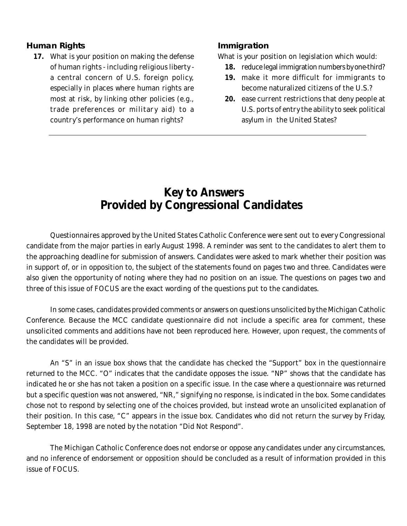#### *Human Rights*

**17.** What is your position on making the defense of human rights - including religious liberty a central concern of U.S. foreign policy, especially in places where human rights are most at risk, by linking other policies (e.g., trade preferences or military aid) to a country's performance on human rights?

#### *Immigration*

What is your position on legislation which would:

- **18.** reduce legal immigration numbers by one-third?
- **19.** make it more difficult for immigrants to become naturalized citizens of the U.S.?
- **20.** ease current restrictions that deny people at U.S. ports of entry the ability to seek political asylum in the United States?

## **Key to Answers Provided by Congressional Candidates**

Questionnaires approved by the United States Catholic Conference were sent out to every Congressional candidate from the major parties in early August 1998. A reminder was sent to the candidates to alert them to the approaching deadline for submission of answers. Candidates were asked to mark whether their position was in support of, or in opposition to, the subject of the statements found on pages two and three. Candidates were also given the opportunity of noting where they had no position on an issue. The questions on pages two and three of this issue of *FOCUS* are the exact wording of the questions put to the candidates.

In some cases, candidates provided comments or answers on questions unsolicited by the Michigan Catholic Conference. Because the MCC candidate questionnaire did not include a specific area for comment, these unsolicited comments and additions have not been reproduced here. However, upon request, the comments of the candidates will be provided.

An "S" in an issue box shows that the candidate has checked the "Support" box in the questionnaire returned to the MCC. "O" indicates that the candidate opposes the issue. "NP" shows that the candidate has indicated he or she has not taken a position on a specific issue. In the case where a questionnaire was returned but a specific question was not answered, "NR," signifying no response, is indicated in the box. Some candidates chose not to respond by selecting one of the choices provided, but instead wrote an unsolicited explanation of their position. In this case, "C" appears in the issue box. Candidates who did not return the survey by Friday, September 18, 1998 are noted by the notation "Did Not Respond".

The Michigan Catholic Conference does not endorse or oppose any candidates under any circumstances, and no inference of endorsement or opposition should be concluded as a result of information provided in this issue of *FOCUS.*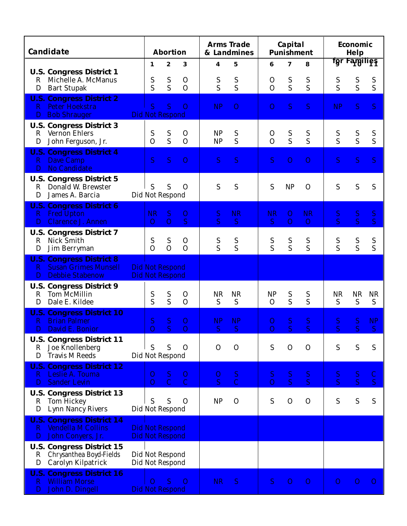| <b>Candidate</b>                                                                                      | <b>Abortion</b>                                  |                               |                               | <b>Arms Trade</b><br>& Landmines |                     | Capital<br><b>Punishment</b> |                                  |                             | <b>Economic</b><br><b>Help</b> |                                      |                             |
|-------------------------------------------------------------------------------------------------------|--------------------------------------------------|-------------------------------|-------------------------------|----------------------------------|---------------------|------------------------------|----------------------------------|-----------------------------|--------------------------------|--------------------------------------|-----------------------------|
|                                                                                                       | 1                                                | $\mathbf{2}$                  | 3                             | 4                                | 5                   | 6                            | $\overline{\mathbf{z}}$          | 8                           |                                | fgr Families                         |                             |
| <b>U.S. Congress District 1</b><br>Michelle A. McManus<br>R<br>D<br><b>Bart Stupak</b>                | S<br>S                                           | ${\bf S}$<br>S                | $\mathbf 0$<br>$\overline{O}$ | S<br>S                           | ${\bf S}$<br>S      | $\mathbf{O}$<br>$\Omega$     | ${\bf S}$<br>$\overline{S}$      | S<br>S                      | $S_S$                          | S<br>S                               | ${\mathbf S}$<br>S          |
| <b>U.S. Congress District 2</b><br><b>Peter Hoekstra</b><br>R.<br><b>Bob Shrauger</b><br>D.           | <sub>S</sub><br><b>Did Not Respond</b>           | S                             | $\overline{O}$                | <b>NP</b>                        | $\overline{O}$      | $\mathbf{O}$                 | <sub>S</sub>                     | S                           | NP                             | <sub>S</sub>                         | S                           |
| <b>U.S. Congress District 3</b><br><b>Vernon Ehlers</b><br>$\mathbf R$<br>John Ferguson, Jr.<br>D     | S<br>$\Omega$                                    | S<br>S                        | $\mathbf 0$<br>$\Omega$       | <b>NP</b><br><b>NP</b>           | S<br>S              | $\mathbf 0$<br>$\Omega$      | S<br>S                           | S<br>S                      | $S_{\rm S}$                    | $S_S$                                | S<br>S                      |
| <b>U.S. Congress District 4</b><br><b>Dave Camp</b><br>$\mathbf{R}$<br><b>No Candidate</b><br>D.      | <sub>S</sub>                                     | S.                            | $\overline{O}$                | S                                | S                   | <sub>S</sub>                 | $\overline{O}$                   | $\overline{O}$              | S                              | S                                    | <sub>S</sub>                |
| <b>U.S. Congress District 5</b><br>Donald W. Brewster<br>R<br>James A. Barcia<br>D                    | S<br>Did Not Respond                             | S                             | $\Omega$                      | S                                | S                   | S                            | <b>NP</b>                        | $\mathbf{O}$                | S                              | S                                    | S                           |
| <b>U.S. Congress District 6</b><br><b>Fred Upton</b><br>$\bf R$<br><b>Clarence J. Annen</b><br>D      | <b>NR</b><br>$\Omega$                            | S<br>$\Omega$                 | $\mathbf{O}$<br>S             | S<br>S                           | <b>NR</b><br>S      | <b>NR</b><br>S               | $\overline{O}$<br>$\overline{O}$ | <b>NR</b><br>$\overline{O}$ | S<br>$\overline{S}$            | ${\bf S}$<br>$\overline{\mathbf{S}}$ | ${\bf S}$<br>$\overline{S}$ |
| <b>U.S. Congress District 7</b><br>Nick Smith<br>R<br>Jim Berryman<br>D                               | S<br>$\overline{O}$                              | ${\mathbf S}$<br>$\mathbf{O}$ | $\mathbf{O}$<br>$\Omega$      | S<br>$\overline{S}$              | S<br>S              | S<br>$\overline{S}$          | S<br>S                           | S<br>S                      | $S_{\rm S}$                    | S<br>S                               | S<br>S                      |
| <b>U.S. Congress District 8</b><br><b>Susan Grimes Munsell</b><br>R.<br><b>Debbie Stabenow</b><br>D   | <b>Did Not Respond</b><br><b>Did Not Respond</b> |                               |                               |                                  |                     |                              |                                  |                             |                                |                                      |                             |
| <b>U.S. Congress District 9</b><br><b>Tom McMillin</b><br>R<br>Dale E. Kildee<br>D                    | ${\mathbf S}$<br>S                               | S<br>S                        | $\mathbf{O}$<br>$\Omega$      | <b>NR</b><br>S                   | <b>NR</b><br>S      | <b>NP</b><br>$\mathbf{O}$    | S<br>S                           | S<br>S                      | <b>NR</b><br>S                 | <b>NR</b><br>S                       | <b>NR</b><br>S              |
| <b>U.S. Congress District 10</b><br><b>Brian Palmer</b><br>R.<br>David E. Bonior<br>D                 | S<br>$\overline{O}$                              | S<br>S                        | $\Omega$<br>$\overline{O}$    | <b>NP</b><br>S                   | <b>NP</b><br>S      | O<br>$\Omega$                | S<br>S                           | S<br>S                      | S<br>S                         | S<br>S                               | <b>NP</b><br>S              |
| <b>U.S. Congress District 11</b><br>Joe Knollenberg<br>R<br><b>Travis M Reeds</b><br>D                | S<br>Did Not Respond                             | S                             | $\mathbf{O}$                  | $\mathbf{O}$                     | $\mathbf 0$         | S                            | $\mathbf{O}$                     | $\mathbf{O}$                | S                              | S                                    | S                           |
| <b>U.S. Congress District 12</b><br>Leslie A. Touma<br>R.<br><b>Sander Levin</b><br>D                 | O<br>$\overline{O}$                              | ${\bf S}$<br>$\mathbf C$      | $\mathbf{O}$<br>$\mathcal{C}$ | O<br>$\overline{S}$              | S<br>$\overline{C}$ | ${\bf S}$<br>$\overline{O}$  | ${\bf S}$<br><sub>S</sub>        | ${\bf S}$<br>S              | S<br>$\overline{S}$            | ${\bf S}$<br>$\overline{S}$          | $\mathbf C$<br>S            |
| <b>U.S. Congress District 13</b><br><b>Tom Hickey</b><br>$\mathbf R$<br>D<br><b>Lynn Nancy Rivers</b> | S<br>Did Not Respond                             | S                             | $\mathbf{O}$                  | NP                               | $\mathbf{O}$        | S                            | $\mathbf{O}$                     | $\mathbf{O}$                | S                              | ${\mathbf S}$                        | S                           |
| <b>U.S. Congress District 14</b><br><b>Vendella M Collins</b><br>R.<br>John Conyers, Jr.<br>D         | <b>Did Not Respond</b><br>Did Not Respond        |                               |                               |                                  |                     |                              |                                  |                             |                                |                                      |                             |
| <b>U.S. Congress District 15</b><br>Chrysanthea Boyd-Fields<br>R<br>Carolyn Kilpatrick<br>D           | Did Not Respond<br>Did Not Respond               |                               |                               |                                  |                     |                              |                                  |                             |                                |                                      |                             |
| <b>U.S. Congress District 16</b><br><b>William Morse</b><br>R.<br>John D. Dingell<br>D                | $\Omega$<br><b>Did Not Respond</b>               | <sub>S</sub>                  | $\overline{O}$                | <b>NR</b>                        | <sub>S</sub>        | S                            | $\overline{O}$                   | $\overline{O}$              | $\overline{O}$                 | $\overline{0}$                       | $\overline{O}$              |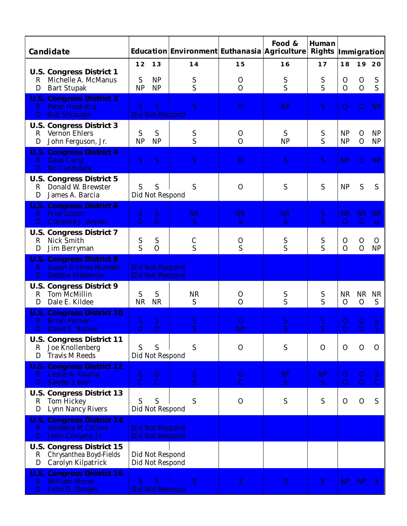| <b>Candidate</b>                                                                                             |                     |                                                  | Education Environment Euthanasia Agriculture |                                | Food &         | <b>Human</b>              | <b>Rights Immigration</b>        |                               |                       |
|--------------------------------------------------------------------------------------------------------------|---------------------|--------------------------------------------------|----------------------------------------------|--------------------------------|----------------|---------------------------|----------------------------------|-------------------------------|-----------------------|
|                                                                                                              | 12                  | 13                                               | 14                                           | 15                             | 16             | 17                        | 18                               |                               | 19 20                 |
| <b>U.S. Congress District 1</b><br>Michelle A. McManus<br>R<br>D<br><b>Bart Stupak</b>                       | S<br>NP             | <b>NP</b><br>NP                                  | S<br>S                                       | $\mathbf 0$<br>$\overline{O}$  | S<br>S         | S<br>S                    | $\mathbf{O}$<br>$\overline{O}$   | $\mathbf 0$<br>$\overline{O}$ | S<br>S                |
| <b>U.S. Congress District 2</b><br><b>Peter Hoekstra</b><br>R<br><b>Bob Shrauger</b><br>D                    | $\overline{S}$      | <sub>S</sub><br><b>Did Not Respond</b>           | S                                            | $\overline{O}$                 | <b>NP</b>      | S                         | $\Omega$                         | $\Omega$                      | <b>NP</b>             |
| <b>U.S. Congress District 3</b><br><b>Vernon Ehlers</b><br>$\bf{R}$<br>John Ferguson, Jr.<br>D               | S<br><b>NP</b>      | S<br>NP                                          | S<br>S                                       | $\mathbf{O}$<br>$\overline{O}$ | S<br><b>NP</b> | ${\mathbf S}$<br>S        | <b>NP</b><br><b>NP</b>           | $\mathbf{O}$<br>$\mathbf{O}$  | <b>NP</b><br>NP       |
| <b>U.S. Congress District 4</b><br><b>Dave Camp</b><br>$\mathbf R$<br><b>No Candidate</b><br>D               | S                   | <sub>S</sub>                                     | <sub>S</sub>                                 | $\theta$                       | <sub>S</sub>   | <sub>S</sub>              | <b>NP</b>                        | $\theta$                      | <b>NP</b>             |
| <b>U.S. Congress District 5</b><br>Donald W. Brewster<br>R<br>James A. Barcia<br>D                           | S                   | S<br>Did Not Respond                             | S                                            | $\Omega$                       | S              | S                         | <b>NP</b>                        | S                             | S                     |
| <b>U.S. Congress District 6</b><br><b>Fred Upton</b><br>$\mathbf R$<br><b>Clarence J. Annen</b>              | S.<br>$\Omega$      | S<br>$\Omega$                                    | <b>NR</b><br>S.                              | <b>NR</b><br><sub>S</sub>      | <b>NR</b><br>S | S<br>S                    | <b>NR</b><br>$\overline{O}$      | <b>NR</b><br>$\overline{O}$   | <b>NR</b><br>$\Omega$ |
| <b>U.S. Congress District 7</b><br>Nick Smith<br>R<br>Jim Berryman<br>D                                      | S<br>S              | S<br>$\overline{O}$                              | $\mathsf{C}$<br>S                            | O<br>S                         | S<br>S         | S<br>S                    | $\mathbf{O}$<br>$\Omega$         | $\mathbf{O}$<br>$\mathbf{O}$  | $\Omega$<br>NP        |
| <b>U.S. Congress District 8</b><br><b>Susan Grimes Munsell</b><br>$\mathbf R$<br><b>Debbie Stabenow</b><br>D |                     | <b>Did Not Respond</b><br><b>Did Not Respond</b> |                                              |                                |                |                           |                                  |                               |                       |
| <b>U.S. Congress District 9</b><br><b>Tom McMillin</b><br>$\mathbf R$<br>Dale E. Kildee<br>D                 | S<br><b>NR</b>      | S<br><b>NR</b>                                   | <b>NR</b><br>S                               | $\mathbf 0$<br>$\Omega$        | S<br>S         | S<br>S                    | <b>NR</b><br>$\mathbf{O}$        | <b>NR</b><br>$\mathbf{O}$     | <b>NR</b><br>S        |
| <b>U.S. Congress District 10</b><br><b>Brian Palmer</b><br>R<br>David E. Bonior<br>D                         | S<br>$\overline{O}$ | S<br>$\overline{O}$                              | S<br><sub>S</sub>                            | O<br><b>NP</b>                 | ${\bf S}$<br>S | S<br>S                    | $\overline{O}$<br>$\overline{O}$ | 0<br>$\overline{O}$           | S<br>S                |
| <b>U.S. Congress District 11</b><br>Joe Knollenberg<br>R<br><b>Travis M Reeds</b><br>D                       | S                   | S<br>Did Not Respond                             | S                                            | $\mathbf 0$                    | S              | $\mathbf{O}$              | $\mathbf{O}$                     | $\mathbf{O}$                  | $\mathbf{O}$          |
| <b>U.S. Congress District 12</b><br>Leslie A. Touma<br>R.<br><b>Sander Levin</b><br>D                        | S<br>$\overline{C}$ | 0<br>$\overline{C}$                              | <sub>S</sub><br>$\overline{S}$               | $\Omega$<br>$\overline{C}$     | <b>NP</b><br>S | <b>NP</b><br><sub>S</sub> | O<br>$\overline{O}$              | 0<br>$\overline{O}$           | S.<br>$\mathcal{C}$   |
| <b>U.S. Congress District 13</b><br>$\mathbf R$<br><b>Tom Hickey</b><br>D<br><b>Lynn Nancy Rivers</b>        | S                   | S<br>Did Not Respond                             | S                                            | $\Omega$                       | S              | S                         | $\mathbf{O}$                     | $\mathbf 0$                   | S                     |
| <b>U.S. Congress District 14</b><br><b>Vendella M Collins</b><br>R<br>John Conyers, Jr.<br>D                 |                     | <b>Did Not Respond</b><br><b>Did Not Respond</b> |                                              |                                |                |                           |                                  |                               |                       |
| <b>U.S. Congress District 15</b><br>Chrysanthea Boyd-Fields<br>R<br>Carolyn Kilpatrick<br>D                  |                     | Did Not Respond<br>Did Not Respond               |                                              |                                |                |                           |                                  |                               |                       |
| <b>U.S. Congress District 16</b><br><b>William Morse</b><br>$\bf R$<br>John D. Dingell<br>D                  | <sub>S</sub>        | <sub>S</sub><br><b>Did Not Respond</b>           | <sub>S</sub>                                 | <sub>S</sub>                   | $\mathbf{0}$   | <sub>S</sub>              | NP                               | <b>NP</b>                     | S.                    |